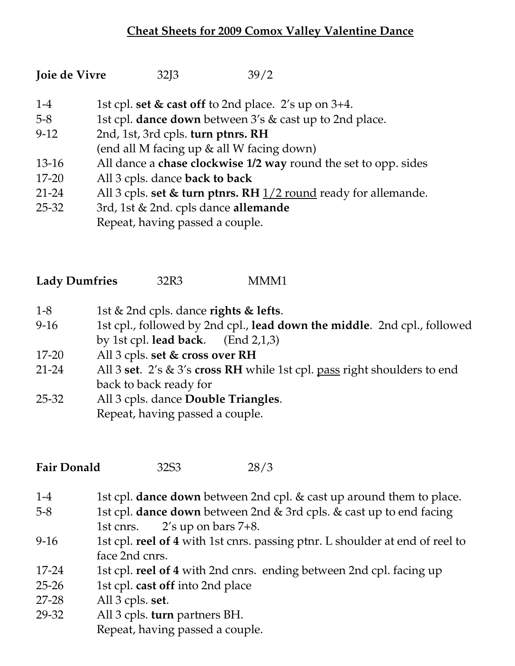## **Cheat Sheets for 2009 Comox Valley Valentine Dance**

| Joie de Vivre | 32J3 | 39/2 |
|---------------|------|------|
|---------------|------|------|

- 1-4 1st cpl. **set & cast off** to 2nd place. 2's up on 3+4.
- 5-8 1st cpl. **dance down** between 3's & cast up to 2nd place.
- 9-12 2nd, 1st, 3rd cpls. **turn ptnrs. RH**
- (end all M facing up & all W facing down)
- 13-16 All dance a **chase clockwise 1/2 way** round the set to opp. sides
- 17-20 All 3 cpls. dance **back to back**
- 21-24 All 3 cpls. **set & turn ptnrs. RH** 1/2 round ready for allemande.
- 25-32 3rd, 1st & 2nd. cpls dance **allemande** Repeat, having passed a couple.

| <b>Lady Dumfries</b> | 32R3 | MMM1 |
|----------------------|------|------|
|----------------------|------|------|

- 1-8 1st & 2nd cpls. dance **rights & lefts**.
- 9-16 1st cpl., followed by 2nd cpl., **lead down the middle**. 2nd cpl., followed by 1st cpl. **lead back**. (End 2,1,3)
- 17-20 All 3 cpls. **set & cross over RH**
- 21-24 All 3 **set**. 2's & 3's **cross RH** while 1st cpl. pass right shoulders to end back to back ready for
- 25-32 All 3 cpls. dance **Double Triangles**. Repeat, having passed a couple.

**Fair Donald** 32S3 28/3

- 1-4 1st cpl. **dance down** between 2nd cpl. & cast up around them to place.
- 5-8 1st cpl. **dance down** between 2nd & 3rd cpls. & cast up to end facing 1st cnrs. 2's up on bars 7+8.
- 9-16 1st cpl. **reel of 4** with 1st cnrs. passing ptnr. L shoulder at end of reel to face 2nd cnrs.
- 17-24 1st cpl. **reel of 4** with 2nd cnrs. ending between 2nd cpl. facing up
- 25-26 1st cpl. **cast off** into 2nd place
- 27-28 All 3 cpls. **set**.
- 29-32 All 3 cpls. **turn** partners BH. Repeat, having passed a couple.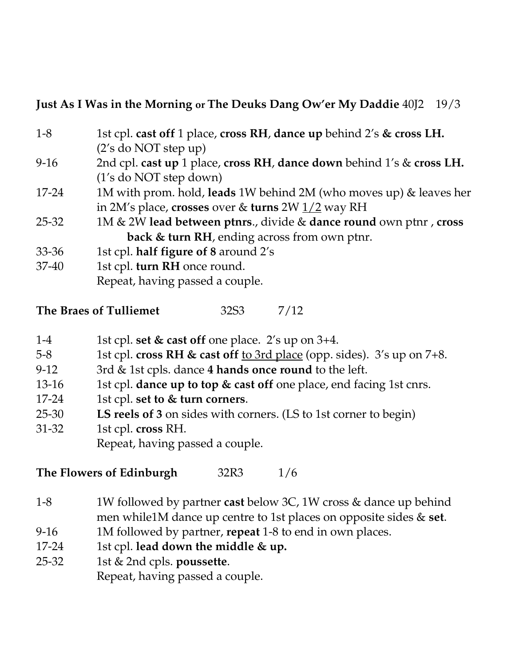## **Just As I Was in the Morning or The Deuks Dang Ow'er My Daddie** 40J2 19/3

| $1 - 8$   | 1st cpl. cast off 1 place, cross RH, dance up behind 2's & cross LH.  |
|-----------|-----------------------------------------------------------------------|
|           | $(2's$ do NOT step up)                                                |
| $9-16$    | 2nd cpl. cast up 1 place, cross RH, dance down behind 1's & cross LH. |
|           | (1's do NOT step down)                                                |
| 17-24     | 1M with prom. hold, leads 1W behind 2M (who moves up) & leaves her    |
|           | in 2M's place, crosses over & turns 2W $1/2$ way RH                   |
| 25-32     | 1M & 2W lead between ptnrs., divide & dance round own ptnr, cross     |
|           | back & turn RH, ending across from own ptnr.                          |
| $33 - 36$ | 1st cpl. half figure of 8 around 2's                                  |
| $37 - 40$ | 1st cpl. turn RH once round.                                          |
|           | Repeat, having passed a couple.                                       |

| The Braes of Tulliemet | 32S <sub>3</sub> | 7/12 |
|------------------------|------------------|------|
|                        |                  |      |

- 1-4 1st cpl. **set & cast off** one place. 2's up on 3+4.
- 5-8 1st cpl. **cross RH & cast off** to 3rd place (opp. sides). 3's up on 7+8.
- 9-12 3rd & 1st cpls. dance **4 hands once round** to the left.
- 13-16 1st cpl. **dance up to top & cast off** one place, end facing 1st cnrs.
- 17-24 1st cpl. **set to & turn corners**.
- 25-30 **LS reels of 3** on sides with corners. (LS to 1st corner to begin)
- 31-32 1st cpl. **cross** RH.

Repeat, having passed a couple.

**The Flowers of Edinburgh** 32R3 1/6

- 1-8 1W followed by partner **cast** below 3C, 1W cross & dance up behind men while1M dance up centre to 1st places on opposite sides & **set**.
- 9-16 1M followed by partner, **repeat** 1-8 to end in own places.
- 17-24 1st cpl. **lead down the middle & up.**
- 25-32 1st & 2nd cpls. **poussette**. Repeat, having passed a couple.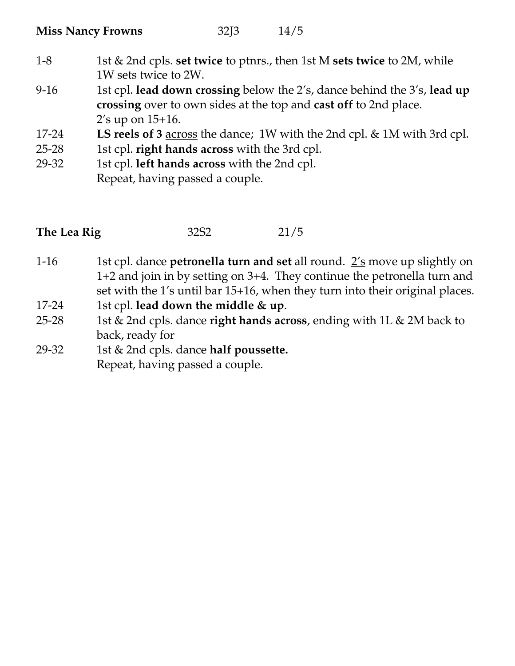| <b>Miss Nancy Frowns</b> | 32J3 | 14/5 |
|--------------------------|------|------|
|--------------------------|------|------|

- 1-8 1st & 2nd cpls. **set twice** to ptnrs., then 1st M **sets twice** to 2M, while 1W sets twice to 2W.
- 9-16 1st cpl. **lead down crossing** below the 2's, dance behind the 3's, **lead up crossing** over to own sides at the top and **cast off** to 2nd place. 2's up on 15+16.
- 17-24 **LS reels of 3** across the dance; 1W with the 2nd cpl. & 1M with 3rd cpl.
- 25-28 1st cpl. **right hands across** with the 3rd cpl.
- 29-32 1st cpl. **left hands across** with the 2nd cpl. Repeat, having passed a couple.

| The Lea Rig | 32S <sub>2</sub> | 21/5 |
|-------------|------------------|------|
|             |                  |      |

- 1-16 1st cpl. dance **petronella turn and set** all round. 2's move up slightly on 1+2 and join in by setting on 3+4. They continue the petronella turn and set with the 1's until bar 15+16, when they turn into their original places.
- 17-24 1st cpl. **lead down the middle & up**.
- 25-28 1st & 2nd cpls. dance **right hands across**, ending with 1L & 2M back to back, ready for
- 29-32 1st & 2nd cpls. dance **half poussette.** Repeat, having passed a couple.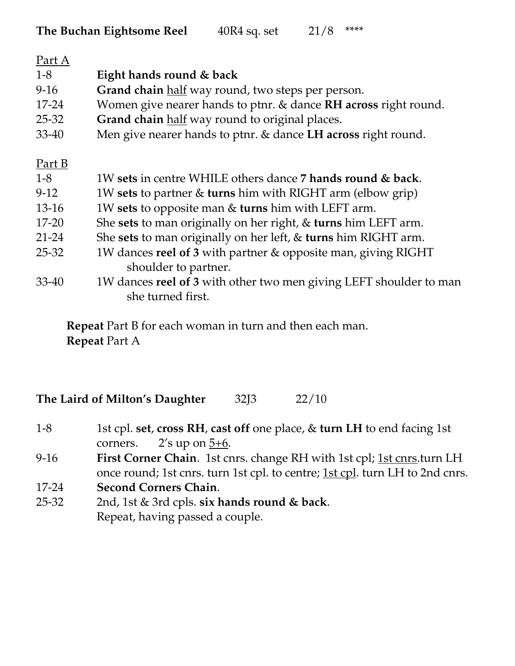| <u>Part A</u> |                                                                    |
|---------------|--------------------------------------------------------------------|
| $1 - 8$       | Eight hands round & back                                           |
| $9-16$        | Grand chain half way round, two steps per person.                  |
| 17-24         | Women give nearer hands to ptnr. & dance RH across right round.    |
| 25-32         | Grand chain half way round to original places.                     |
| 33-40         | Men give nearer hands to ptnr. & dance LH across right round.      |
| Part B        |                                                                    |
| $1 - 8$       | 1W sets in centre WHILE others dance 7 hands round & back.         |
| $9-12$        | 1W sets to partner & turns him with RIGHT arm (elbow grip)         |
| $13-16$       | 1W sets to opposite man & turns him with LEFT arm.                 |
| $17 - 20$     | She sets to man originally on her right, & turns him LEFT arm.     |
| $21 - 24$     | She sets to man originally on her left, & turns him RIGHT arm.     |
| 25-32         | 1W dances reel of 3 with partner & opposite man, giving RIGHT      |
|               | shoulder to partner.                                               |
| $33 - 40$     | 1W dances reel of 3 with other two men giving LEFT shoulder to man |
|               | she turned first.                                                  |

**Repeat** Part B for each woman in turn and then each man. **Repeat** Part A

**The Laird of Milton's Daughter** 32J3 22/10

- 1-8 1st cpl. **set**, **cross RH**, **cast off** one place, & **turn LH** to end facing 1st corners.  $2'$ s up on  $5+6$ .
- 9-16 **First Corner Chain**. 1st cnrs. change RH with 1st cpl; 1st cnrs.turn LH once round; 1st cnrs. turn 1st cpl. to centre; <u>1st cpl</u>. turn LH to 2nd cnrs.
- 17-24 **Second Corners Chain**.
- 25-32 2nd, 1st & 3rd cpls. **six hands round & back**. Repeat, having passed a couple.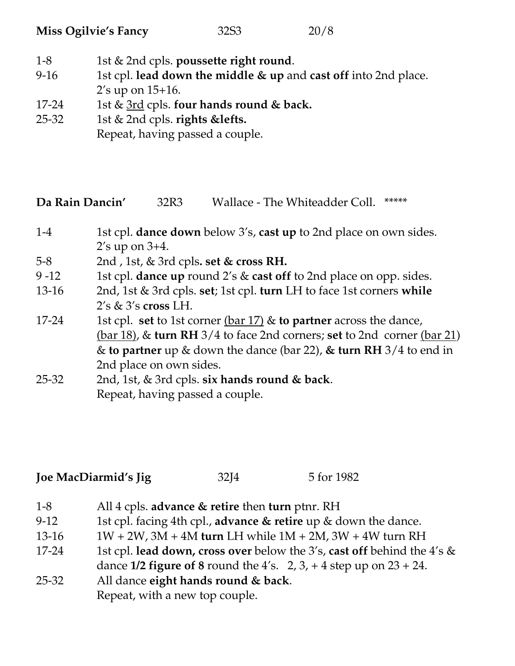| <b>Miss Ogilvie's Fancy</b> | 32S <sub>3</sub> | 20/8 |
|-----------------------------|------------------|------|
|-----------------------------|------------------|------|

- 1-8 1st & 2nd cpls. **poussette right round**.
- 9-16 1st cpl. **lead down the middle & up** and **cast off** into 2nd place. 2's up on 15+16.
- 17-24 1st & 3rd cpls. **four hands round & back.**
- 25-32 1st & 2nd cpls. **rights &lefts.** Repeat, having passed a couple.

**Da Rain Dancin'** 32R3 Wallace - The Whiteadder Coll. \*\*\*\*\*

- 1-4 1st cpl. **dance down** below 3's, **cast up** to 2nd place on own sides. 2's up on 3+4.
- 5-8 2nd , 1st, & 3rd cpls**. set & cross RH.**
- 9 -12 1st cpl. **dance up** round 2's & **cast off** to 2nd place on opp. sides.
- 13-16 2nd, 1st & 3rd cpls. **set**; 1st cpl. **turn** LH to face 1st corners **while**  2's & 3's **cross** LH.
- 17-24 1st cpl. **set** to 1st corner (bar 17) & **to partner** across the dance, (bar 18), & **turn RH** 3/4 to face 2nd corners; **set** to 2nd corner (bar 21) & **to partner** up & down the dance (bar 22), **& turn RH** 3/4 to end in 2nd place on own sides.
- 25-32 2nd, 1st, & 3rd cpls. **six hands round & back**. Repeat, having passed a couple.

| Joe MacDiarmid's Jig | 32J <sub>4</sub> | 5 for 1982 |
|----------------------|------------------|------------|
|----------------------|------------------|------------|

1-8 All 4 cpls. **advance & retire** then **turn** ptnr. RH 9-12 1st cpl. facing 4th cpl., **advance & retire** up & down the dance. 13-16 1W + 2W, 3M + 4M **turn** LH while 1M + 2M, 3W + 4W turn RH 17-24 1st cpl. **lead down, cross over** below the 3's, **cast off** behind the 4's & dance  $1/2$  **figure of 8** round the  $4's$ .  $2, 3, +4$  step up on  $23 + 24$ . 25-32 All dance **eight hands round & back**. Repeat, with a new top couple.